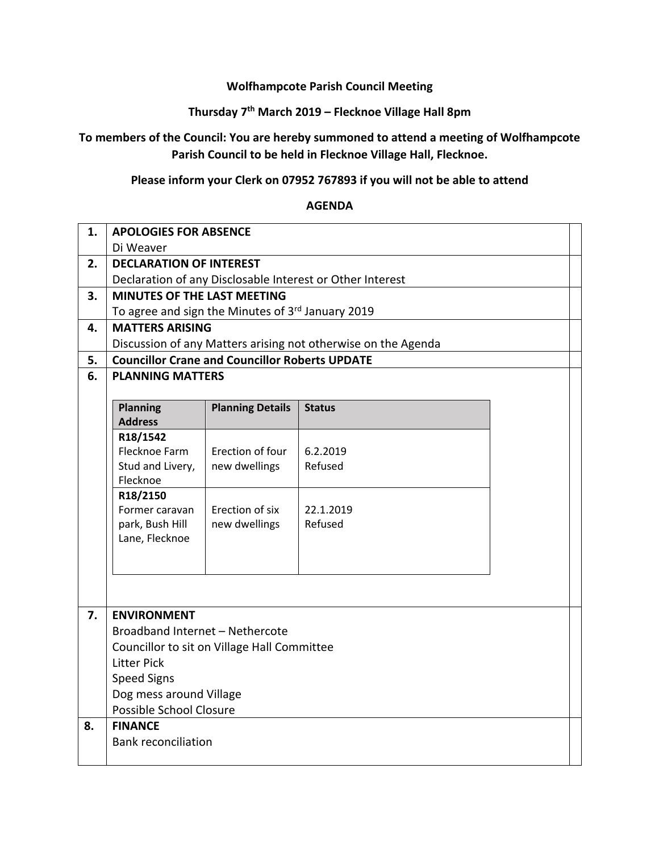### **Wolfhampcote Parish Council Meeting**

# **Thursday 7th March 2019 – Flecknoe Village Hall 8pm**

# **To members of the Council: You are hereby summoned to attend a meeting of Wolfhampcote Parish Council to be held in Flecknoe Village Hall, Flecknoe.**

# **Please inform your Clerk on 07952 767893 if you will not be able to attend**

#### **AGENDA**

| 1. | <b>APOLOGIES FOR ABSENCE</b>                                      |                         |               |  |  |  |
|----|-------------------------------------------------------------------|-------------------------|---------------|--|--|--|
|    | Di Weaver                                                         |                         |               |  |  |  |
| 2. | <b>DECLARATION OF INTEREST</b>                                    |                         |               |  |  |  |
|    | Declaration of any Disclosable Interest or Other Interest         |                         |               |  |  |  |
| 3. | <b>MINUTES OF THE LAST MEETING</b>                                |                         |               |  |  |  |
|    | To agree and sign the Minutes of 3rd January 2019                 |                         |               |  |  |  |
| 4. | <b>MATTERS ARISING</b>                                            |                         |               |  |  |  |
|    | Discussion of any Matters arising not otherwise on the Agenda     |                         |               |  |  |  |
| 5. | <b>Councillor Crane and Councillor Roberts UPDATE</b>             |                         |               |  |  |  |
| 6. | <b>PLANNING MATTERS</b>                                           |                         |               |  |  |  |
|    |                                                                   |                         |               |  |  |  |
|    | <b>Planning</b>                                                   | <b>Planning Details</b> | <b>Status</b> |  |  |  |
|    | <b>Address</b>                                                    |                         |               |  |  |  |
|    | R18/1542<br>Flecknoe Farm                                         | Erection of four        | 6.2.2019      |  |  |  |
|    | Stud and Livery,                                                  | new dwellings           | Refused       |  |  |  |
|    | Flecknoe                                                          |                         |               |  |  |  |
|    | R18/2150                                                          |                         |               |  |  |  |
|    | Former caravan                                                    | Erection of six         | 22.1.2019     |  |  |  |
|    | park, Bush Hill                                                   | new dwellings           | Refused       |  |  |  |
|    | Lane, Flecknoe                                                    |                         |               |  |  |  |
|    |                                                                   |                         |               |  |  |  |
|    |                                                                   |                         |               |  |  |  |
|    |                                                                   |                         |               |  |  |  |
|    |                                                                   |                         |               |  |  |  |
| 7. | <b>ENVIRONMENT</b>                                                |                         |               |  |  |  |
|    | Broadband Internet - Nethercote                                   |                         |               |  |  |  |
|    | Councillor to sit on Village Hall Committee<br><b>Litter Pick</b> |                         |               |  |  |  |
|    | <b>Speed Signs</b>                                                |                         |               |  |  |  |
|    | Dog mess around Village                                           |                         |               |  |  |  |
|    | Possible School Closure                                           |                         |               |  |  |  |
| 8. | <b>FINANCE</b>                                                    |                         |               |  |  |  |
|    | <b>Bank reconciliation</b>                                        |                         |               |  |  |  |
|    |                                                                   |                         |               |  |  |  |